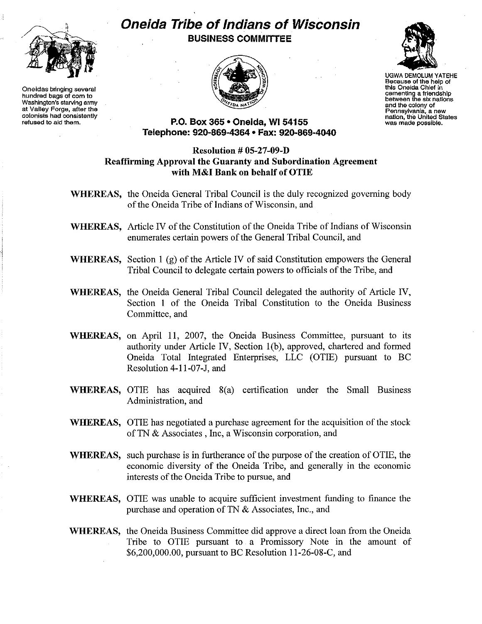

**Oneidas bringing several hundred bags of corn to Washington's starving army at Valley Forge, after the colonists had consistently refused to aid them.**

## **Oneida Tribe ofIndians of Wisconsin BUSINESS COMMITTEE**





UGWA DEMOLUM YATEHE **Because of the help of this Oneida Chief in cementing a friendshIp between the six nations and the colony of Pennsylvania, a new nation, the United States was made possible.**

## **P.O. Box 365· Oneida,** WI 54155 **Telepl1one: 920-869-4364 • Fax: 920-869-4040**

## **Resolution # OS-27-09-D Reaffirming Approval the Guaranty and Subordination Agreement with M&I Bank on behalf of OTIE**

- **WHEREAS,** the Oneida General Tribal Council is the duly recognized governing body of the Oneida Tribe of Indians of Wisconsin, and
- **WHEREAS.** Article IV of the Constitution of the Oneida Tribe of Indians of Wisconsin enumerates certain powers of the General Tribal Council, and
- **WHEREAS,** Section 1 (g) of the Article IV of said Constitution empowers the General Tribal Council to delegate certain powers to officials ofthe Tribe, and
- **WHEREAS,** the Oneida General Tribal Council delegated the authority of Article IV, Section I of the Oneida Tribal Constitution to the Oneida Business Committee, and
- **WHEREAS,** on April II, 2007, the Oneida Business Committee, pursuant to its authority under Article IV, Section I(b), approved, chartered and formed Oneida Total Integrated Enterprises, LLC (OTIE) pursuant to BC Resolution 4-11-07-J, and
- **WHEREAS,** OTIE has acquired 8(a) certification under the Small Business Administration, and
- **WHEREAS,** OTIE has negotiated a purchase agreement for the acquisition of the stock of TN & Associates, Inc, a Wisconsin corporation, and
- **WHEREAS,** such purchase is in furtherance of the purpose of the creation of OTIE, the economic diversity of the Oneida Tribe, and generally in the economic interests of the Oneida Tribe to pursue, and
- **WHEREAS,** OTIE was unable to acquire sufficient investment funding to finance the purchase and operation of TN & Associates, Inc., and
- **WHEREAS,** the Oneida Business Committee did approve a direct loan from the Oneida Tribe to OTIE pursuant to a Promissory Note in the amount of \$6,200,000.00, pursuant to BC Resolution 11-26-08-C, and